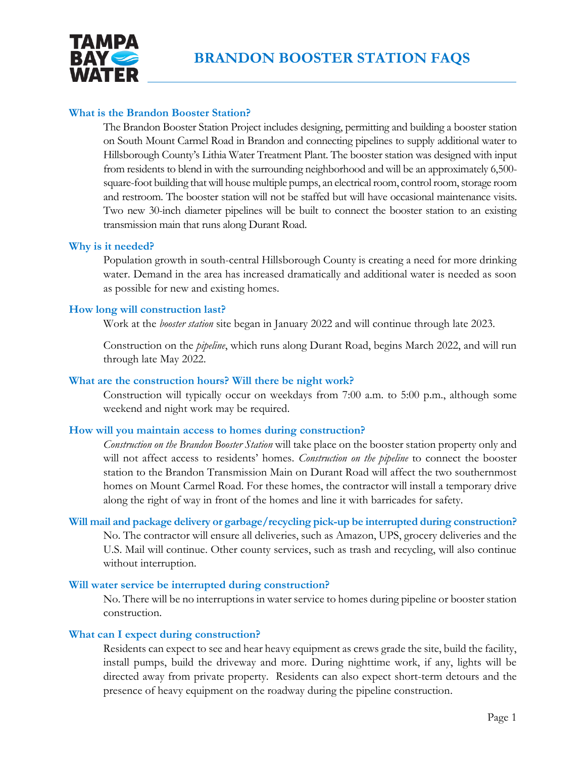

# **What is the Brandon Booster Station?**

The Brandon Booster Station Project includes designing, permitting and building a booster station on South Mount Carmel Road in Brandon and connecting pipelines to supply additional water to Hillsborough County's Lithia Water Treatment Plant. The booster station was designed with input from residents to blend in with the surrounding neighborhood and will be an approximately 6,500 square-foot building that will house multiple pumps, an electrical room, control room, storage room and restroom. The booster station will not be staffed but will have occasional maintenance visits. Two new 30-inch diameter pipelines will be built to connect the booster station to an existing transmission main that runs along Durant Road.

### **Why is it needed?**

Population growth in south-central Hillsborough County is creating a need for more drinking water. Demand in the area has increased dramatically and additional water is needed as soon as possible for new and existing homes.

### **How long will construction last?**

Work at the *booster station* site began in January 2022 and will continue through late 2023.

Construction on the *pipeline*, which runs along Durant Road, begins March 2022, and will run through late May 2022.

## **What are the construction hours? Will there be night work?**

Construction will typically occur on weekdays from 7:00 a.m. to 5:00 p.m., although some weekend and night work may be required.

### **How will you maintain access to homes during construction?**

*Construction on the Brandon Booster Station* will take place on the booster station property only and will not affect access to residents' homes. *Construction on the pipeline* to connect the booster station to the Brandon Transmission Main on Durant Road will affect the two southernmost homes on Mount Carmel Road. For these homes, the contractor will install a temporary drive along the right of way in front of the homes and line it with barricades for safety.

**Will mail and package delivery or garbage/recycling pick-up be interrupted during construction?** 

No. The contractor will ensure all deliveries, such as Amazon, UPS, grocery deliveries and the U.S. Mail will continue. Other county services, such as trash and recycling, will also continue without interruption.

### **Will water service be interrupted during construction?**

No. There will be no interruptions in water service to homes during pipeline or booster station construction.

### **What can I expect during construction?**

Residents can expect to see and hear heavy equipment as crews grade the site, build the facility, install pumps, build the driveway and more. During nighttime work, if any, lights will be directed away from private property. Residents can also expect short-term detours and the presence of heavy equipment on the roadway during the pipeline construction.